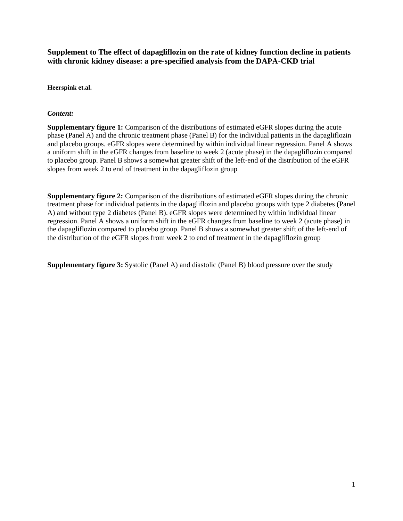**Supplement to The effect of dapagliflozin on the rate of kidney function decline in patients with chronic kidney disease: a pre-specified analysis from the DAPA-CKD trial**

**Heerspink et.al.**

## *Content:*

**Supplementary figure 1:** Comparison of the distributions of estimated eGFR slopes during the acute phase (Panel A) and the chronic treatment phase (Panel B) for the individual patients in the dapagliflozin and placebo groups. eGFR slopes were determined by within individual linear regression. Panel A shows a uniform shift in the eGFR changes from baseline to week 2 (acute phase) in the dapagliflozin compared to placebo group. Panel B shows a somewhat greater shift of the left-end of the distribution of the eGFR slopes from week 2 to end of treatment in the dapagliflozin group

**Supplementary figure 2:** Comparison of the distributions of estimated eGFR slopes during the chronic treatment phase for individual patients in the dapagliflozin and placebo groups with type 2 diabetes (Panel A) and without type 2 diabetes (Panel B). eGFR slopes were determined by within individual linear regression. Panel A shows a uniform shift in the eGFR changes from baseline to week 2 (acute phase) in the dapagliflozin compared to placebo group. Panel B shows a somewhat greater shift of the left-end of the distribution of the eGFR slopes from week 2 to end of treatment in the dapagliflozin group

**Supplementary figure 3:** Systolic (Panel A) and diastolic (Panel B) blood pressure over the study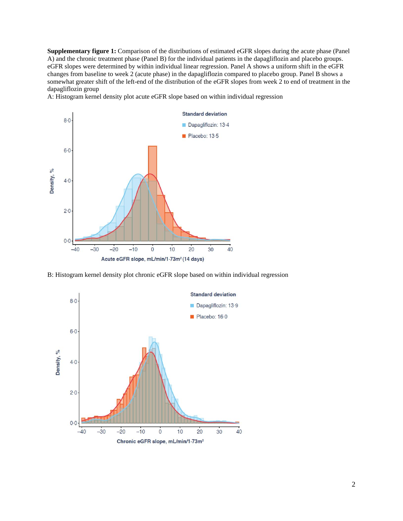**Supplementary figure 1:** Comparison of the distributions of estimated eGFR slopes during the acute phase (Panel A) and the chronic treatment phase (Panel B) for the individual patients in the dapagliflozin and placebo groups. eGFR slopes were determined by within individual linear regression. Panel A shows a uniform shift in the eGFR changes from baseline to week 2 (acute phase) in the dapagliflozin compared to placebo group. Panel B shows a somewhat greater shift of the left-end of the distribution of the eGFR slopes from week 2 to end of treatment in the dapagliflozin group

A: Histogram kernel density plot acute eGFR slope based on within individual regression



B: Histogram kernel density plot chronic eGFR slope based on within individual regression

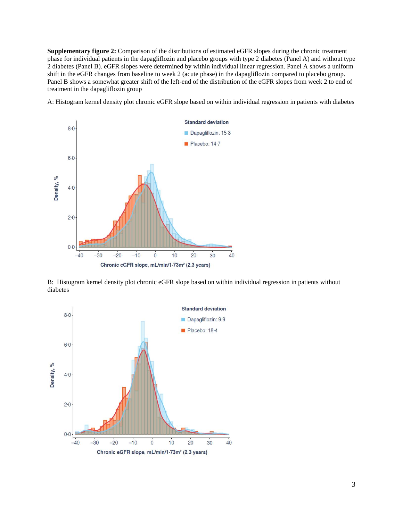**Supplementary figure 2:** Comparison of the distributions of estimated eGFR slopes during the chronic treatment phase for individual patients in the dapagliflozin and placebo groups with type 2 diabetes (Panel A) and without type 2 diabetes (Panel B). eGFR slopes were determined by within individual linear regression. Panel A shows a uniform shift in the eGFR changes from baseline to week 2 (acute phase) in the dapagliflozin compared to placebo group. Panel B shows a somewhat greater shift of the left-end of the distribution of the eGFR slopes from week 2 to end of treatment in the dapagliflozin group

A: Histogram kernel density plot chronic eGFR slope based on within individual regression in patients with diabetes



B: Histogram kernel density plot chronic eGFR slope based on within individual regression in patients without diabetes